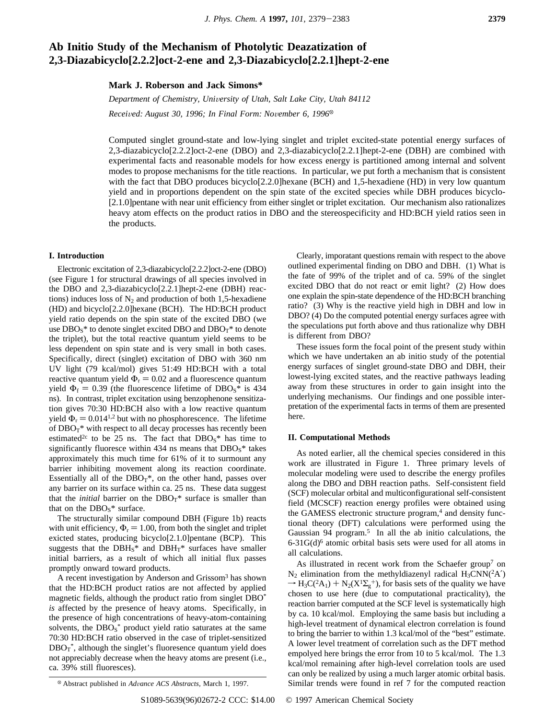# **Ab Initio Study of the Mechanism of Photolytic Deazatization of 2,3-Diazabicyclo[2.2.2]oct-2-ene and 2,3-Diazabicyclo[2.2.1]hept-2-ene**

**Mark J. Roberson and Jack Simons\***

*Department of Chemistry, University of Utah, Salt Lake City, Utah 84112 Recei*V*ed: August 30, 1996; In Final Form: No*V*ember 6, 1996*<sup>X</sup>

Computed singlet ground-state and low-lying singlet and triplet excited-state potential energy surfaces of 2,3-diazabicyclo[2.2.2]oct-2-ene (DBO) and 2,3-diazabicyclo[2.2.1]hept-2-ene (DBH) are combined with experimental facts and reasonable models for how excess energy is partitioned among internal and solvent modes to propose mechanisms for the title reactions. In particular, we put forth a mechanism that is consistent with the fact that DBO produces bicyclo<sup>[2.2.0]</sup>hexane (BCH) and 1,5-hexadiene (HD) in very low quantum yield and in proportions dependent on the spin state of the excited species while DBH produces bicyclo- [2.1.0]pentane with near unit efficiency from either singlet or triplet excitation. Our mechanism also rationalizes heavy atom effects on the product ratios in DBO and the stereospecificity and HD:BCH yield ratios seen in the products.

#### **I. Introduction**

Electronic excitation of 2,3-diazabicyclo[2.2.2]oct-2-ene (DBO) (see Figure 1 for structural drawings of all species involved in the DBO and 2,3-diazabicyclo[2.2.1]hept-2-ene (DBH) reactions) induces loss of  $N_2$  and production of both 1,5-hexadiene (HD) and bicyclo[2.2.0]hexane (BCH). The HD:BCH product yield ratio depends on the spin state of the excited DBO (we use  $DBO<sub>S</sub>$ <sup>\*</sup> to denote singlet excited DBO and  $DBO<sub>T</sub>$ <sup>\*</sup> to denote the triplet), but the total reactive quantum yield seems to be less dependent on spin state and is very small in both cases. Specifically, direct (singlet) excitation of DBO with 360 nm UV light (79 kcal/mol) gives 51:49 HD:BCH with a total reactive quantum yield  $\Phi_r = 0.02$  and a fluorescence quantum yield  $\Phi_f = 0.39$  (the fluorescence lifetime of DBO<sub>S</sub>\* is 434 ns). In contrast, triplet excitation using benzophenone sensitization gives 70:30 HD:BCH also with a low reactive quantum yield  $\Phi_r = 0.014^{1,2}$  but with no phosphorescence. The lifetime of  $DBO_T^*$  with respect to all decay processes has recently been estimated<sup>2c</sup> to be 25 ns. The fact that  $DBO<sub>S</sub>$ <sup>\*</sup> has time to significantly fluoresce within 434 ns means that  $DBO<sub>S</sub>$ <sup>\*</sup> takes approximately this much time for 61% of it to surmount any barrier inhibiting movement along its reaction coordinate. Essentially all of the  $DBO_T^*$ , on the other hand, passes over any barrier on its surface within ca. 25 ns. These data suggest that the *initial* barrier on the  $DBO_T^*$  surface is smaller than that on the  $DBO<sub>S</sub>^*$  surface.

The structurally similar compound DBH (Figure 1b) reacts with unit efficiency,  $\Phi_r = 1.00$ , from both the singlet and triplet exicted states, producing bicyclo[2.1.0]pentane (BCP). This suggests that the  $DBH<sub>S</sub>^*$  and  $DBH<sub>T</sub>^*$  surfaces have smaller initial barriers, as a result of which all initial flux passes promptly onward toward products.

A recent investigation by Anderson and Grissom3 has shown that the HD:BCH product ratios are not affected by applied magnetic fields, although the product ratio from singlet DBO\* *is* affected by the presence of heavy atoms. Specifically, in the presence of high concentrations of heavy-atom-containing solvents, the  $DBO<sub>S</sub><sup>*</sup>$  product yield ratio saturates at the same 70:30 HD:BCH ratio observed in the case of triplet-sensitized  $DBO_T^*$ , although the singlet's fluoresence quantum yield does not appreciably decrease when the heavy atoms are present (i.e., ca. 39% still fluoresces).

Clearly, imporatant questions remain with respect to the above outlined experimental finding on DBO and DBH. (1) What is the fate of 99% of the triplet and of ca. 59% of the singlet excited DBO that do not react or emit light? (2) How does one explain the spin-state dependence of the HD:BCH branching ratio? (3) Why is the reactive yield high in DBH and low in DBO? (4) Do the computed potential energy surfaces agree with the speculations put forth above and thus rationalize why DBH is different from DBO?

These issues form the focal point of the present study within which we have undertaken an ab initio study of the potential energy surfaces of singlet ground-state DBO and DBH, their lowest-lying excited states, and the reactive pathways leading away from these structures in order to gain insight into the underlying mechanisms. Our findings and one possible interpretation of the experimental facts in terms of them are presented here.

# **II. Computational Methods**

As noted earlier, all the chemical species considered in this work are illustrated in Figure 1. Three primary levels of molecular modeling were used to describe the energy profiles along the DBO and DBH reaction paths. Self-consistent field (SCF) molecular orbital and multiconfigurational self-consistent field (MCSCF) reaction energy profiles were obtained using the GAMESS electronic structure program,<sup>4</sup> and density functional theory (DFT) calculations were performed using the Gaussian 94 program.<sup>5</sup> In all the ab initio calculations, the  $6-31G(d)<sup>6</sup>$  atomic orbital basis sets were used for all atoms in all calculations.

As illustrated in recent work from the Schaefer group<sup>7</sup> on  $N_2$  elimination from the methyldiazenyl radical  $H_3CNN(^2A')$  $\rightarrow$  H<sub>3</sub>C(<sup>2</sup>A<sub>1</sub>) + N<sub>2</sub>(X<sup>1</sup> $\Sigma_g$ <sup>+</sup>), for basis sets of the quality we have chosen to use here (due to computational practicality), the reaction barrier computed at the SCF level is systematically high by ca. 10 kcal/mol. Employing the same basis but including a high-level treatment of dynamical electron correlation is found to bring the barrier to within 1.3 kcal/mol of the "best" estimate. A lower level treatment of correlation such as the DFT method empolyed here brings the error from 10 to 5 kcal/mol. The 1.3 kcal/mol remaining after high-level correlation tools are used can only be realized by using a much larger atomic orbital basis. Similar trends were found in ref 7 for the computed reaction <sup>X</sup> Abstract published in *Ad*V*ance ACS Abstracts,* March 1, 1997.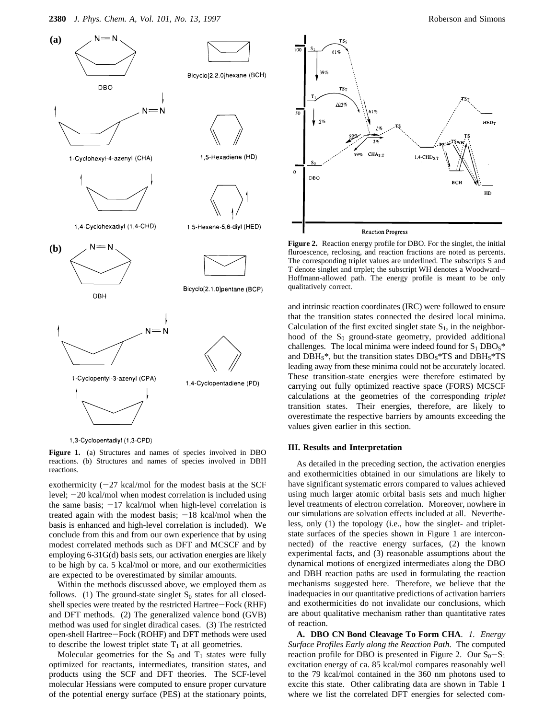

1,3-Cyclopentadiyl (1,3-CPD)

**Figure 1.** (a) Structures and names of species involved in DBO reactions. (b) Structures and names of species involved in DBH reactions.

exothermicity  $(-27 \text{ kcal/mol}$  for the modest basis at the SCF level; -20 kcal/mol when modest correlation is included using the same basis;  $-17$  kcal/mol when high-level correlation is treated again with the modest basis;  $-18$  kcal/mol when the basis is enhanced and high-level correlation is included). We conclude from this and from our own experience that by using modest correlated methods such as DFT and MCSCF and by employing 6-31G(d) basis sets, our activation energies are likely to be high by ca. 5 kcal/mol or more, and our exothermicities are expected to be overestimated by similar amounts.

Within the methods discussed above, we employed them as follows. (1) The ground-state singlet  $S_0$  states for all closedshell species were treated by the restricted Hartree-Fock (RHF) and DFT methods. (2) The generalized valence bond (GVB) method was used for singlet diradical cases. (3) The restricted open-shell Hartree-Fock (ROHF) and DFT methods were used to describe the lowest triplet state  $T_1$  at all geometries.

Molecular geometries for the  $S_0$  and  $T_1$  states were fully optimized for reactants, intermediates, transition states, and products using the SCF and DFT theories. The SCF-level molecular Hessians were computed to ensure proper curvature of the potential energy surface (PES) at the stationary points,



**Figure 2.** Reaction energy profile for DBO. For the singlet, the initial fluroescence, reclosing, and reaction fractions are noted as percents. The corresponding triplet values are underlined. The subscripts S and T denote singlet and trrplet; the subscript WH denotes a Woodward-Hoffmann-allowed path. The energy profile is meant to be only qualitatively correct.

and intrinsic reaction coordinates (IRC) were followed to ensure that the transition states connected the desired local minima. Calculation of the first excited singlet state  $S_1$ , in the neighborhood of the  $S_0$  ground-state geometry, provided additional challenges. The local minima were indeed found for  $S_1 DBOs^*$ and  $DBH<sub>S</sub>^*$ , but the transition states  $DBO<sub>S</sub>^*TS$  and  $DBH<sub>S</sub>^*TS$ leading away from these minima could not be accurately located. These transition-state energies were therefore estimated by carrying out fully optimized reactive space (FORS) MCSCF calculations at the geometries of the corresponding *triplet* transition states. Their energies, therefore, are likely to overestimate the respective barriers by amounts exceeding the values given earlier in this section.

# **III. Results and Interpretation**

As detailed in the preceding section, the activation energies and exothermicities obtained in our simulations are likely to have significant systematic errors compared to values achieved using much larger atomic orbital basis sets and much higher level treatments of electron correlation. Moreover, nowhere in our simulations are solvation effects included at all. Nevertheless, only (1) the topology (i.e., how the singlet- and tripletstate surfaces of the species shown in Figure 1 are interconnected) of the reactive energy surfaces, (2) the known experimental facts, and (3) reasonable assumptions about the dynamical motions of energized intermediates along the DBO and DBH reaction paths are used in formulating the reaction mechanisms suggested here. Therefore, we believe that the inadequacies in our quantitative predictions of activation barriers and exothermicities do not invalidate our conclusions, which are about qualitative mechanism rather than quantitative rates of reaction.

**A. DBO CN Bond Cleavage To Form CHA**. *1. Energy Surface Profiles Early along the Reaction Path*. The computed reaction profile for DBO is presented in Figure 2. Our  $S_0-S_1$ excitation energy of ca. 85 kcal/mol compares reasonably well to the 79 kcal/mol contained in the 360 nm photons used to excite this state. Other calibrating data are shown in Table 1 where we list the correlated DFT energies for selected com-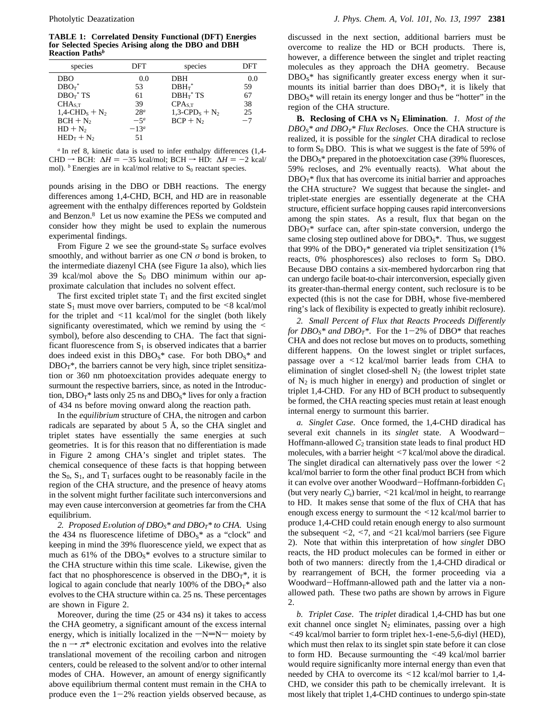**TABLE 1: Correlated Density Functional (DFT) Energies for Selected Species Arising along the DBO and DBH Reaction Paths***<sup>b</sup>*

| species                                  | DFT             | species                                  | DFT     |
|------------------------------------------|-----------------|------------------------------------------|---------|
| DBO                                      | 0.0             | DBH                                      | 0.0     |
| $DBO_T^*$                                | 53              | $DBH_T^*$                                | 59      |
| $DBO_T^*$ TS                             | 61              | $DBH_T^*$ TS                             | 67      |
| CHA <sub>S.T</sub>                       | 39              | CPA <sub>S.T</sub>                       | 38      |
| $1.4$ -CHD <sub>s</sub> + N <sub>2</sub> | 28 <sup>a</sup> | $1,3$ -CPD <sub>s</sub> + N <sub>2</sub> | 25      |
| $BCH + N2$                               | $-5a$           | $BCP + N_2$                              | $^{-7}$ |
| $HD + N_2$                               | $-13^a$         |                                          |         |
| $HED_T + N_2$                            | 51              |                                          |         |

*<sup>a</sup>* In ref 8, kinetic data is used to infer enthalpy differences (1,4- CHD  $\rightarrow$  BCH:  $\Delta H = -35$  kcal/mol; BCH  $\rightarrow$  HD:  $\Delta H = -2$  kcal/ mol).  $<sup>b</sup>$  Energies are in kcal/mol relative to  $S<sub>0</sub>$  reactant species.</sup>

pounds arising in the DBO or DBH reactions. The energy differences among 1,4-CHD, BCH, and HD are in reasonable agreement with the enthalpy differences reported by Goldstein and Benzon.8 Let us now examine the PESs we computed and consider how they might be used to explain the numerous experimental findings.

From Figure 2 we see the ground-state  $S_0$  surface evolves smoothly, and without barrier as one CN *σ* bond is broken, to the intermediate diazenyl CHA (see Figure 1a also), which lies 39 kcal/mol above the  $S_0$  DBO minimum within our approximate calculation that includes no solvent effect.

The first excited triplet state  $T_1$  and the first excited singlet state  $S_1$  must move over barriers, computed to be  $\leq 8$  kcal/mol for the triplet and <11 kcal/mol for the singlet (both likely significanty overestimated, which we remind by using the  $\leq$ symbol), before also descending to CHA. The fact that significant fluorescence from  $S_1$  is observed indicates that a barrier does indeed exist in this  $DBO<sub>S</sub>^*$  case. For both  $DBO<sub>S</sub>^*$  and  $DBO_T^*$ , the barriers cannot be very high, since triplet sensitization or 360 nm photoexcitation provides adequate energy to surmount the respective barriers, since, as noted in the Introduction,  $DBO_T^*$  lasts only 25 ns and  $DBO_S^*$  lives for only a fraction of 434 ns before moving onward along the reaction path.

In the *equilibrium* structure of CHA, the nitrogen and carbon radicals are separated by about 5 Å, so the CHA singlet and triplet states have essentially the same energies at such geometries. It is for this reason that no differentiation is made in Figure 2 among CHA's singlet and triplet states. The chemical consequence of these facts is that hopping between the  $S_0$ ,  $S_1$ , and  $T_1$  surfaces ought to be reasonably facile in the region of the CHA structure, and the presence of heavy atoms in the solvent might further facilitate such interconversions and may even cause interconversion at geometries far from the CHA equilibrium.

2. Proposed Evolution of  $DBO<sub>S</sub>$ <sup>\*</sup> and  $DBO<sub>T</sub>$ <sup>\*</sup> to CHA. Using the 434 ns fluorescence lifetime of  $DBO<sub>S</sub>^*$  as a "clock" and keeping in mind the 39% fluorescence yield, we expect that as much as  $61\%$  of the DBO<sub>S</sub>\* evolves to a structure similar to the CHA structure within this time scale. Likewise, given the fact that no phosphorescence is observed in the  $DBO_T^*$ , it is logical to again conclude that nearly 100% of the  $DBO_T^*$  also evolves to the CHA structure within ca. 25 ns. These percentages are shown in Figure 2.

Moreover, during the time (25 or 434 ns) it takes to access the CHA geometry, a significant amount of the excess internal energy, which is initially localized in the  $-N=N-$  moiety by the  $n \rightarrow \pi^*$  electronic excitation and evolves into the relative translational movement of the recoiling carbon and nitrogen centers, could be released to the solvent and/or to other internal modes of CHA. However, an amount of energy significantly above equilibrium thermal content must remain in the CHA to produce even the  $1-2%$  reaction yields observed because, as discussed in the next section, additional barriers must be overcome to realize the HD or BCH products. There is, however, a difference between the singlet and triplet reacting molecules as they approach the DHA geometry. Because  $DBO<sub>S</sub>$ <sup>\*</sup> has significantly greater excess energy when it surmounts its initial barrier than does  $DBO_T^*$ , it is likely that  $DBO<sub>S</sub>$ <sup>\*</sup> will retain its energy longer and thus be "hotter" in the region of the CHA structure.

**B. Reclosing of CHA vs N2 Elimination**. *1. Most of the*  $DBO<sub>S</sub>$ <sup>\*</sup> and  $DBO<sub>T</sub>$ <sup>\*</sup> Flux Recloses. Once the CHA structure is realized, it is possible for the *singlet* CHA diradical to reclose to form  $S_0$  DBO. This is what we suggest is the fate of 59% of the  $DBO<sub>S</sub>$ <sup>\*</sup> prepared in the photoexcitation case (39% fluoresces, 59% recloses, and 2% eventually reacts). What about the  $DBO_T^*$  flux that has overcome its initial barrier and approaches the CHA structure? We suggest that because the singlet- and triplet-state energies are essentially degenerate at the CHA structure, efficient surface hopping causes rapid interconversions among the spin states. As a result, flux that began on the  $DBO_T^*$  surface can, after spin-state conversion, undergo the same closing step outlined above for  $DBO<sub>S</sub>$ <sup>\*</sup>. Thus, we suggest that 99% of the  $DBO_T^*$  generated via triplet sensitization (1%) reacts,  $0\%$  phosphoresces) also recloses to form  $S_0$  DBO. Because DBO contains a six-membered hydorcarbon ring that can undergo facile boat-to-chair interconversion, especially given its greater-than-thermal energy content, such reclosure is to be expected (this is not the case for DBH, whose five-membered ring's lack of flexibility is expected to greatly inhibit reclosure).

*2. Small Percent of Flux that Reacts Proceeds Differently for DBO<sub>S</sub>\* and DBO<sub>T</sub>\**. For the 1-2% of DBO<sup>\*</sup> that reaches CHA and does not reclose but moves on to products, something different happens. On the lowest singlet or triplet surfaces, passage over a <12 kcal/mol barrier leads from CHA to elimination of singlet closed-shell  $N_2$  (the lowest triplet state of  $N_2$  is much higher in energy) and production of singlet or triplet 1,4-CHD. For any HD of BCH product to subsequently be formed, the CHA reacting species must retain at least enough internal energy to surmount this barrier.

*a. Singlet Case*. Once formed, the 1,4-CHD diradical has several exit channels in its *singlet* state. A Woodward-Hoffmann-allowed  $C_2$  transition state leads to final product HD molecules, with a barrier height <7 kcal/mol above the diradical. The singlet diradical can alternatively pass over the lower  $\leq 2$ kcal/mol barrier to form the other final product BCH from which it can evolve over another Woodward-Hoffmann-forbidden *C*<sup>1</sup> (but very nearly *Cs*) barrier, <21 kcal/mol in height, to rearrange to HD. It makes sense that some of the flux of CHA that has enough excess energy to surmount the <12 kcal/mol barrier to produce 1,4-CHD could retain enough energy to also surmount the subsequent  $\leq 2$ ,  $\leq 7$ , and  $\leq 21$  kcal/mol barriers (see Figure 2). Note that within this interpretation of how *singlet* DBO reacts, the HD product molecules can be formed in either or both of two manners: directly from the 1,4-CHD diradical or by rearrangement of BCH, the former proceeding via a Woodward-Hoffmann-allowed path and the latter via a nonallowed path. These two paths are shown by arrows in Figure 2.

*b. Triplet Case*. The *triplet* diradical 1,4-CHD has but one exit channel once singlet  $N_2$  eliminates, passing over a high <49 kcal/mol barrier to form triplet hex-1-ene-5,6-diyl (HED), which must then relax to its singlet spin state before it can close to form HD. Because surmounting the <49 kcal/mol barrier would require significanlty more internal energy than even that needed by CHA to overcome its <12 kcal/mol barrier to 1,4- CHD, we consider this path to be chemically irrelevant. It is most likely that triplet 1,4-CHD continues to undergo spin-state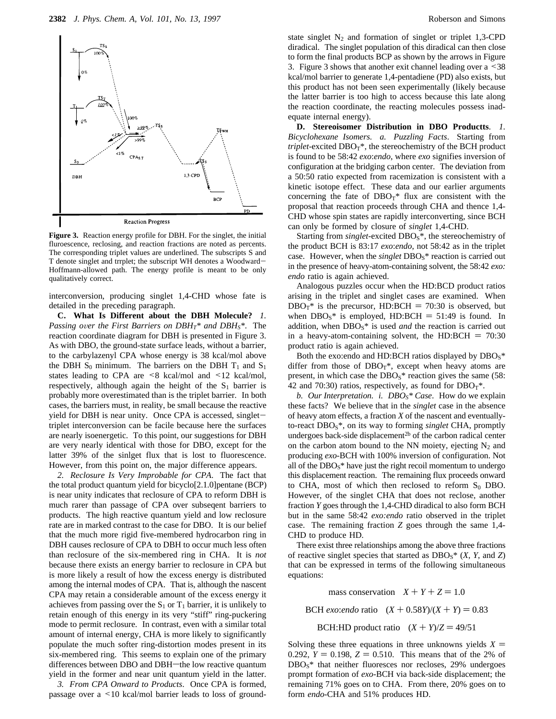

**Figure 3.** Reaction energy profile for DBH. For the singlet, the initial fluroescence, reclosing, and reaction fractions are noted as percents. The corresponding triplet values are underlined. The subscripts S and T denote singlet and trrplet; the subscript WH denotes a Woodward-Hoffmann-allowed path. The energy profile is meant to be only qualitatively correct.

interconversion, producing singlet 1,4-CHD whose fate is detailed in the preceding paragraph.

**C. What Is Different about the DBH Molecule?** *1. Passing over the First Barriers on DBH<sub>T</sub>\* and DBH<sub>S</sub>\*. The* reaction coordinate diagram for DBH is presented in Figure 3. As with DBO, the ground-state surface leads, without a barrier, to the carbylazenyl CPA whose energy is 38 kcal/mol above the DBH  $S_0$  minimum. The barriers on the DBH  $T_1$  and  $S_1$ states leading to CPA are  $\leq 8$  kcal/mol and  $\leq 12$  kcal/mol, respectively, although again the height of the  $S_1$  barrier is probably more overestimated than is the triplet barrier. In both cases, the barriers must, in reality, be small because the reactive yield for DBH is near unity. Once CPA is accessed, singlettriplet interconversion can be facile because here the surfaces are nearly isoenergetic. To this point, our suggestions for DBH are very nearly identical with those for DBO, except for the latter 39% of the sinlget flux that is lost to fluorescence. However, from this point on, the major difference appears.

*2. Reclosure Is Very Improbable for CPA*. The fact that the total product quantum yield for bicyclo[2.1.0]pentane (BCP) is near unity indicates that reclosure of CPA to reform DBH is much rarer than passage of CPA over subseqent barriers to products. The high reactive quantum yield and low reclosure rate are in marked contrast to the case for DBO. It is our belief that the much more rigid five-membered hydrocarbon ring in DBH causes reclosure of CPA to DBH to occur much less often than reclosure of the six-membered ring in CHA. It is *not* because there exists an energy barrier to reclosure in CPA but is more likely a result of how the excess energy is distributed among the internal modes of CPA. That is, although the nascent CPA may retain a considerable amount of the excess energy it achieves from passing over the  $S_1$  or  $T_1$  barrier, it is unlikely to retain enough of this energy in its very "stiff" ring-puckering mode to permit reclosure. In contrast, even with a similar total amount of internal energy, CHA is more likely to significantly populate the much softer ring-distortion modes present in its six-membered ring. This seems to explain one of the primary differences between DBO and DBH-the low reactive quantum yield in the former and near unit quantum yield in the latter.

*3. From CPA Onward to Products*. Once CPA is formed, passage over a <10 kcal/mol barrier leads to loss of ground-

state singlet  $N_2$  and formation of singlet or triplet 1,3-CPD diradical. The singlet population of this diradical can then close to form the final products BCP as shown by the arrows in Figure 3. Figure 3 shows that another exit channel leading over a <38 kcal/mol barrier to generate 1,4-pentadiene (PD) also exists, but this product has not been seen experimentally (likely because the latter barrier is too high to access because this late along the reaction coordinate, the reacting molecules possess inadequate internal energy).

**D. Stereoisomer Distribution in DBO Productts**. *1. Bicyclohexane Isomers. a. Puzzling Facts*. Starting from  $triplet$ -excited  $DBO_T^*$ , the stereochemistry of the BCH product is found to be 58:42 *exo*:*endo*, where *exo* signifies inversion of configuration at the bridging carbon center. The deviation from a 50:50 ratio expected from racemization is consistent with a kinetic isotope effect. These data and our earlier arguments concerning the fate of  $DBO_T^*$  flux are consistent with the proposal that reaction proceeds through CHA and thence 1,4- CHD whose spin states are rapidly interconverting, since BCH can only be formed by closure of *singlet* 1,4-CHD.

Starting from *singlet*-excited DBO<sub>S</sub><sup>\*</sup>, the stereochemistry of the product BCH is 83:17 *exo*:*endo*, not 58:42 as in the triplet case. However, when the *singlet* DBO<sub>S</sub><sup>\*</sup> reaction is carried out in the presence of heavy-atom-containing solvent, the 58:42 *exo: endo* ratio is again achieved.

Analogous puzzles occur when the HD:BCD product ratios arising in the triplet and singlet cases are examined. When  $DBO_T^*$  is the precursor, HD:BCH = 70:30 is observed, but when  $DBO<sub>S</sub>$ <sup>\*</sup> is employed, HD:BCH = 51:49 is found. In addition, when DBO<sub>S</sub><sup>\*</sup> is used *and* the reaction is carried out in a heavy-atom-containing solvent, the HD:BCH  $= 70:30$ product ratio is again achieved.

Both the exo:endo and HD:BCH ratios displayed by  $DBO<sub>S</sub>$ \* differ from those of  $DBO_T^*$ , except when heavy atoms are present, in which case the  $DBO<sub>S</sub>^*$  reaction gives the same (58: 42 and 70:30) ratios, respectively, as found for  $DBO_T^*$ .

*b. Our Interpretation. i. DBOS\* Case*. How do we explain these facts? We believe that in the *singlet* case in the absence of heavy atom effects, a fraction *X* of the nascent and eventuallyto-react DBOS\*, on its way to forming *singlet* CHA, promptly undergoes back-side displacement<sup>2b</sup> of the carbon radical center on the carbon atom bound to the NN moiety, ejecting  $N_2$  and producing *exo*-BCH with 100% inversion of configuration. Not all of the  $DBO<sub>S</sub>$ <sup>\*</sup> have just the right recoil momentum to undergo this displacement reaction. The remaining flux proceeds onward to CHA, most of which then reclosed to reform  $S_0$  DBO. However, of the singlet CHA that does not reclose, another fraction *Y* goes through the 1,4-CHD diradical to also form BCH but in the same 58:42 *exo:endo* ratio observed in the triplet case. The remaining fraction *Z* goes through the same 1,4- CHD to produce HD.

There exist three relationships among the above three fractions of reactive singlet species that started as  $DBO<sub>S</sub><sup>*</sup> (X, Y, and Z)$ that can be expressed in terms of the following simultaneous equations:

mass conservation  $X + Y + Z = 1.0$ 

BCH *exo:endo* ratio  $(X + 0.58Y)/(X + Y) = 0.83$ 

BCH:HD product ratio  $(X + Y)/Z = 49/51$ 

Solving these three equations in three unknowns yields  $X =$ 0.292,  $Y = 0.198$ ,  $Z = 0.510$ . This means that of the 2% of DBOS\* that neither fluoresces nor recloses, 29% undergoes prompt formation of *exo*-BCH via back-side displacement; the remaining 71% goes on to CHA. From there, 20% goes on to form *endo*-CHA and 51% produces HD.